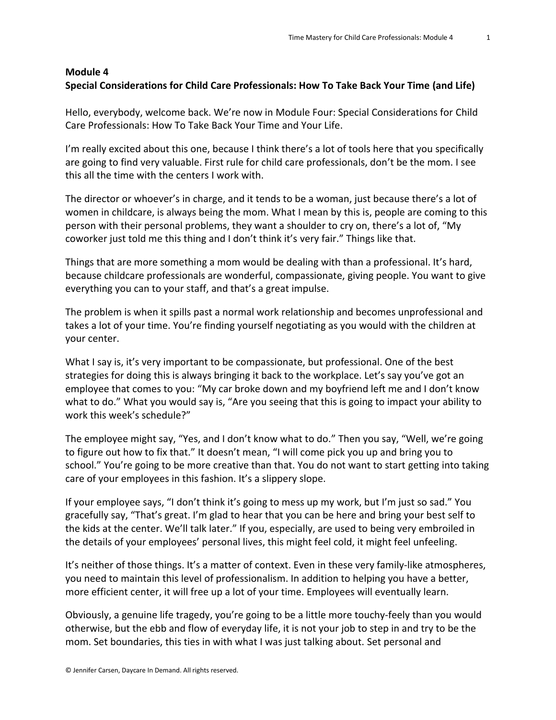## **Module 4 Special Considerations for Child Care Professionals: How To Take Back Your Time (and Life)**

Hello, everybody, welcome back. We're now in Module Four: Special Considerations for Child Care Professionals: How To Take Back Your Time and Your Life.

I'm really excited about this one, because I think there's a lot of tools here that you specifically are going to find very valuable. First rule for child care professionals, don't be the mom. I see this all the time with the centers I work with.

The director or whoever's in charge, and it tends to be a woman, just because there's a lot of women in childcare, is always being the mom. What I mean by this is, people are coming to this person with their personal problems, they want a shoulder to cry on, there's a lot of, "My coworker just told me this thing and I don't think it's very fair." Things like that.

Things that are more something a mom would be dealing with than a professional. It's hard, because childcare professionals are wonderful, compassionate, giving people. You want to give everything you can to your staff, and that's a great impulse.

The problem is when it spills past a normal work relationship and becomes unprofessional and takes a lot of your time. You're finding yourself negotiating as you would with the children at your center.

What I say is, it's very important to be compassionate, but professional. One of the best strategies for doing this is always bringing it back to the workplace. Let's say you've got an employee that comes to you: "My car broke down and my boyfriend left me and I don't know what to do." What you would say is, "Are you seeing that this is going to impact your ability to work this week's schedule?"

The employee might say, "Yes, and I don't know what to do." Then you say, "Well, we're going to figure out how to fix that." It doesn't mean, "I will come pick you up and bring you to school." You're going to be more creative than that. You do not want to start getting into taking care of your employees in this fashion. It's a slippery slope.

If your employee says, "I don't think it's going to mess up my work, but I'm just so sad." You gracefully say, "That's great. I'm glad to hear that you can be here and bring your best self to the kids at the center. We'll talk later." If you, especially, are used to being very embroiled in the details of your employees' personal lives, this might feel cold, it might feel unfeeling.

It's neither of those things. It's a matter of context. Even in these very family-like atmospheres, you need to maintain this level of professionalism. In addition to helping you have a better, more efficient center, it will free up a lot of your time. Employees will eventually learn.

Obviously, a genuine life tragedy, you're going to be a little more touchy-feely than you would otherwise, but the ebb and flow of everyday life, it is not your job to step in and try to be the mom. Set boundaries, this ties in with what I was just talking about. Set personal and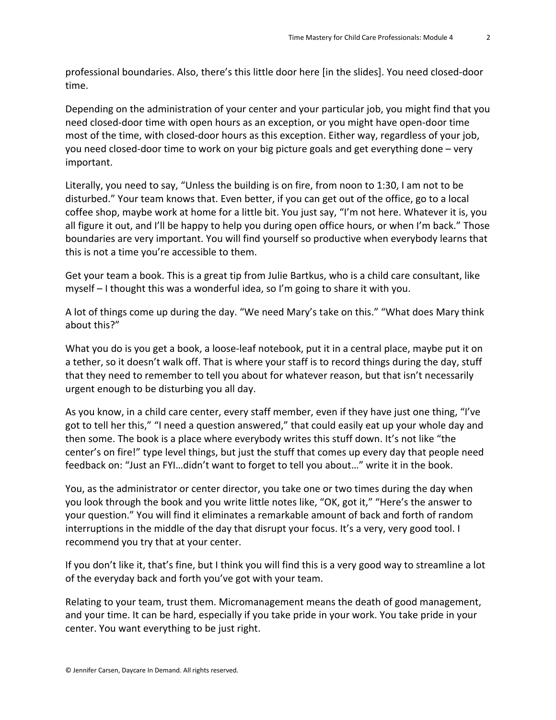professional boundaries. Also, there's this little door here [in the slides]. You need closed-door time.

Depending on the administration of your center and your particular job, you might find that you need closed-door time with open hours as an exception, or you might have open-door time most of the time, with closed-door hours as this exception. Either way, regardless of your job, you need closed-door time to work on your big picture goals and get everything done – very important.

Literally, you need to say, "Unless the building is on fire, from noon to 1:30, I am not to be disturbed." Your team knows that. Even better, if you can get out of the office, go to a local coffee shop, maybe work at home for a little bit. You just say, "I'm not here. Whatever it is, you all figure it out, and I'll be happy to help you during open office hours, or when I'm back." Those boundaries are very important. You will find yourself so productive when everybody learns that this is not a time you're accessible to them.

Get your team a book. This is a great tip from Julie Bartkus, who is a child care consultant, like myself – I thought this was a wonderful idea, so I'm going to share it with you.

A lot of things come up during the day. "We need Mary's take on this." "What does Mary think about this?"

What you do is you get a book, a loose-leaf notebook, put it in a central place, maybe put it on a tether, so it doesn't walk off. That is where your staff is to record things during the day, stuff that they need to remember to tell you about for whatever reason, but that isn't necessarily urgent enough to be disturbing you all day.

As you know, in a child care center, every staff member, even if they have just one thing, "I've got to tell her this," "I need a question answered," that could easily eat up your whole day and then some. The book is a place where everybody writes this stuff down. It's not like "the center's on fire!" type level things, but just the stuff that comes up every day that people need feedback on: "Just an FYI…didn't want to forget to tell you about…" write it in the book.

You, as the administrator or center director, you take one or two times during the day when you look through the book and you write little notes like, "OK, got it," "Here's the answer to your question." You will find it eliminates a remarkable amount of back and forth of random interruptions in the middle of the day that disrupt your focus. It's a very, very good tool. I recommend you try that at your center.

If you don't like it, that's fine, but I think you will find this is a very good way to streamline a lot of the everyday back and forth you've got with your team.

Relating to your team, trust them. Micromanagement means the death of good management, and your time. It can be hard, especially if you take pride in your work. You take pride in your center. You want everything to be just right.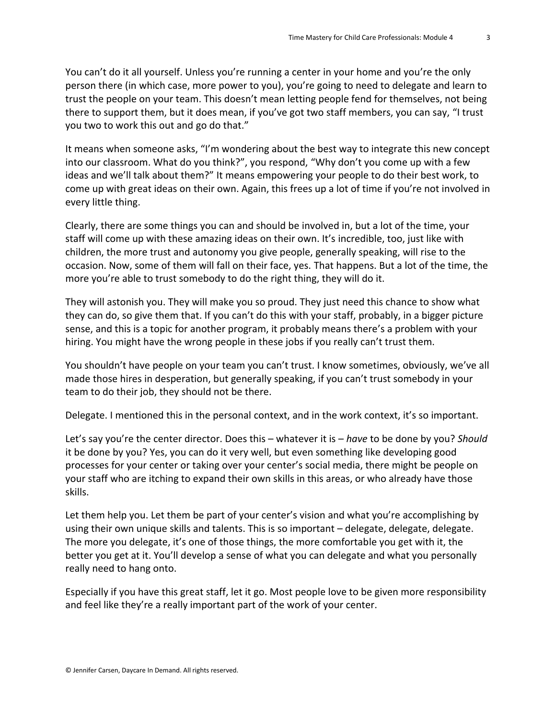You can't do it all yourself. Unless you're running a center in your home and you're the only person there (in which case, more power to you), you're going to need to delegate and learn to trust the people on your team. This doesn't mean letting people fend for themselves, not being there to support them, but it does mean, if you've got two staff members, you can say, "I trust you two to work this out and go do that."

It means when someone asks, "I'm wondering about the best way to integrate this new concept into our classroom. What do you think?", you respond, "Why don't you come up with a few ideas and we'll talk about them?" It means empowering your people to do their best work, to come up with great ideas on their own. Again, this frees up a lot of time if you're not involved in every little thing.

Clearly, there are some things you can and should be involved in, but a lot of the time, your staff will come up with these amazing ideas on their own. It's incredible, too, just like with children, the more trust and autonomy you give people, generally speaking, will rise to the occasion. Now, some of them will fall on their face, yes. That happens. But a lot of the time, the more you're able to trust somebody to do the right thing, they will do it.

They will astonish you. They will make you so proud. They just need this chance to show what they can do, so give them that. If you can't do this with your staff, probably, in a bigger picture sense, and this is a topic for another program, it probably means there's a problem with your hiring. You might have the wrong people in these jobs if you really can't trust them.

You shouldn't have people on your team you can't trust. I know sometimes, obviously, we've all made those hires in desperation, but generally speaking, if you can't trust somebody in your team to do their job, they should not be there.

Delegate. I mentioned this in the personal context, and in the work context, it's so important.

Let's say you're the center director. Does this – whatever it is – *have* to be done by you? *Should* it be done by you? Yes, you can do it very well, but even something like developing good processes for your center or taking over your center's social media, there might be people on your staff who are itching to expand their own skills in this areas, or who already have those skills.

Let them help you. Let them be part of your center's vision and what you're accomplishing by using their own unique skills and talents. This is so important – delegate, delegate, delegate. The more you delegate, it's one of those things, the more comfortable you get with it, the better you get at it. You'll develop a sense of what you can delegate and what you personally really need to hang onto.

Especially if you have this great staff, let it go. Most people love to be given more responsibility and feel like they're a really important part of the work of your center.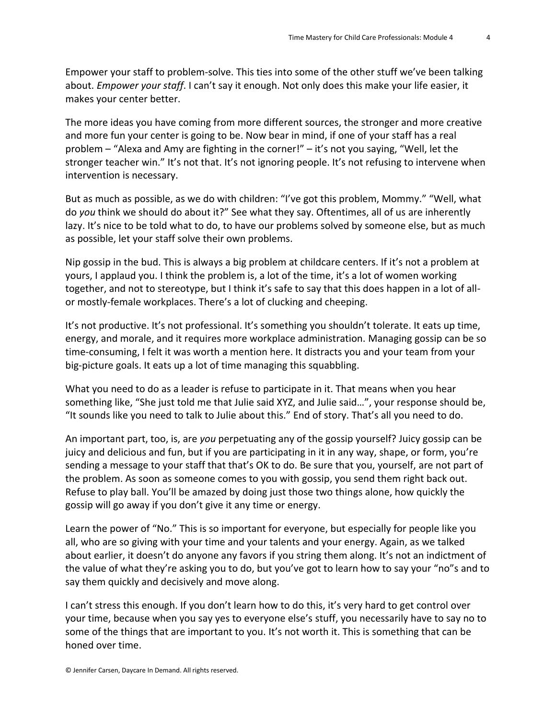Empower your staff to problem-solve. This ties into some of the other stuff we've been talking about. *Empower your staff*. I can't say it enough. Not only does this make your life easier, it makes your center better.

The more ideas you have coming from more different sources, the stronger and more creative and more fun your center is going to be. Now bear in mind, if one of your staff has a real problem – "Alexa and Amy are fighting in the corner!" – it's not you saying, "Well, let the stronger teacher win." It's not that. It's not ignoring people. It's not refusing to intervene when intervention is necessary.

But as much as possible, as we do with children: "I've got this problem, Mommy." "Well, what do *you* think we should do about it?" See what they say. Oftentimes, all of us are inherently lazy. It's nice to be told what to do, to have our problems solved by someone else, but as much as possible, let your staff solve their own problems.

Nip gossip in the bud. This is always a big problem at childcare centers. If it's not a problem at yours, I applaud you. I think the problem is, a lot of the time, it's a lot of women working together, and not to stereotype, but I think it's safe to say that this does happen in a lot of allor mostly-female workplaces. There's a lot of clucking and cheeping.

It's not productive. It's not professional. It's something you shouldn't tolerate. It eats up time, energy, and morale, and it requires more workplace administration. Managing gossip can be so time-consuming, I felt it was worth a mention here. It distracts you and your team from your big-picture goals. It eats up a lot of time managing this squabbling.

What you need to do as a leader is refuse to participate in it. That means when you hear something like, "She just told me that Julie said XYZ, and Julie said…", your response should be, "It sounds like you need to talk to Julie about this." End of story. That's all you need to do.

An important part, too, is, are *you* perpetuating any of the gossip yourself? Juicy gossip can be juicy and delicious and fun, but if you are participating in it in any way, shape, or form, you're sending a message to your staff that that's OK to do. Be sure that you, yourself, are not part of the problem. As soon as someone comes to you with gossip, you send them right back out. Refuse to play ball. You'll be amazed by doing just those two things alone, how quickly the gossip will go away if you don't give it any time or energy.

Learn the power of "No." This is so important for everyone, but especially for people like you all, who are so giving with your time and your talents and your energy. Again, as we talked about earlier, it doesn't do anyone any favors if you string them along. It's not an indictment of the value of what they're asking you to do, but you've got to learn how to say your "no"s and to say them quickly and decisively and move along.

I can't stress this enough. If you don't learn how to do this, it's very hard to get control over your time, because when you say yes to everyone else's stuff, you necessarily have to say no to some of the things that are important to you. It's not worth it. This is something that can be honed over time.